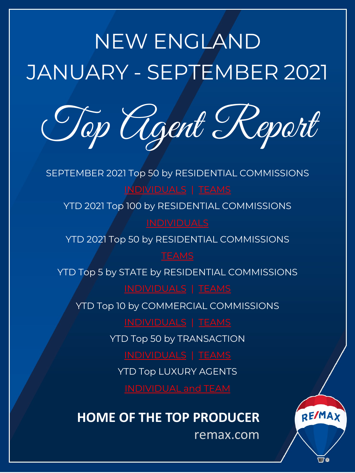# NEW ENGLAND JANUARY - SEPTEMBER 2021

Top [Agen](#page-1-0)[t R](#page-3-0)eport

SEPTEMBER 2021 Top [50 by RESIDE](#page-5-0)NTIAL COMMISSIONS INDIVIDUALS | TEAMS

YTD 2021 Top 100 by [RESIDEN](#page-9-0)TIAL COMMISSIONS

**INDIVIDUALS** 

YTD 2021 To[p 50 by RESIDE](#page-11-0)N[TIAL CO](#page-12-0)MMISSIONS

YTD Top 5 by [STATE by RESID](#page-13-0)E[NTIAL C](#page-14-0)OMMISSIONS

YTD Top 1[0 by COMMER](#page-15-0)CI[AL COM](#page-17-0)MISSIONS

INDIVIDUALS | TEAMS

YT[D Top 50 by TRANSACTIO](#page-19-0)N

INDIVIDUALS | TEAMS

YTD Top LUXURY AGENTS

**HOME OF THE TOP PRODUCER**

remax.com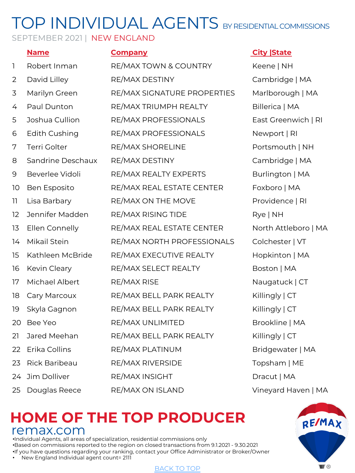### SEPTEMBER 2021 | NEW ENGLAND

|    | <b>Name</b>       | <b>Company</b>              | <b>City State</b> |
|----|-------------------|-----------------------------|-------------------|
| ı  | Robert Inman      | RE/MAX TOWN & COUNTRY       | Keene   NH        |
| 2  | David Lilley      | RE/MAX DESTINY              | Cambridge   MA    |
| 3  | Marilyn Green     | RE/MAX SIGNATURE PROPERTIES | Marlborough   MA  |
| 4  | Paul Dunton       | RE/MAX TRIUMPH REALTY       | Billerica   MA    |
| 5  | Joshua Cullion    | RE/MAX PROFESSIONALS        | East Greenwich    |
| 6  | Edith Cushing     | RE/MAX PROFESSIONALS        | Newport   RI      |
| 7  | Terri Golter      | RE/MAX SHORELINE            | Portsmouth   NH   |
| 8  | Sandrine Deschaux | RE/MAX DESTINY              | Cambridge   MA    |
| 9  | Beverlee Vidoli   | RE/MAX REALTY EXPERTS       | Burlington   MA   |
| 10 | Ben Esposito      | RE/MAX REAL ESTATE CENTER   | Foxboro   MA      |
| 11 | Lisa Barbary      | RE/MAX ON THE MOVE          | Providence   RI   |
| 12 | Jennifer Madden   | RE/MAX RISING TIDE          | Rye   NH          |
| 13 | Ellen Connelly    | RE/MAX REAL ESTATE CENTER   | North Attleboro   |
| 14 | Mikail Stein      | RE/MAX NORTH PROFESSIONALS  | Colchester   VT   |
| 15 | Kathleen McBride  | RE/MAX EXECUTIVE REALTY     | Hopkinton   MA    |
| 16 | Kevin Cleary      | RE/MAX SELECT REALTY        | Boston   MA       |
| 17 | Michael Albert    | <b>RE/MAX RISE</b>          | Naugatuck   CT    |
| 18 | Cary Marcoux      | RE/MAX BELL PARK REALTY     | Killingly   CT    |
| 19 | Skyla Gagnon      | RE/MAX BELL PARK REALTY     | Killingly   CT    |
| 20 | Bee Yeo           | RE/MAX UNLIMITED            | Brookline   MA    |
| 21 | Jared Meehan      | RE/MAX BELL PARK REALTY     | Killingly   CT    |
| 22 | Erika Collins     | RE/MAX PLATINUM             | Bridgewater   MA  |
| 23 | Rick Baribeau     | RE/MAX RIVERSIDE            | Topsham   ME      |
| 24 | Jim Dolliver      | RE/MAX INSIGHT              | Dracut   MA       |
| 25 | Douglas Reece     | RE/MAX ON ISLAND            | Vineyard Haven    |
|    |                   |                             |                   |

### **HOME OF THE TOP PRODUCER** remax.com

•Individual Agents, all areas of specialization, residential commissions only •Based on commissions reported to the region on closed transactions from 9.1.2021 - 9.30.2021 •If you have questions regarding your ranking, contact your Office Administrator or Broker/Owner

• New England Individual agent count= 2111



<span id="page-1-0"></span>bugh | MA enwich | RI tleboro | MA ater | MA Haven | MA

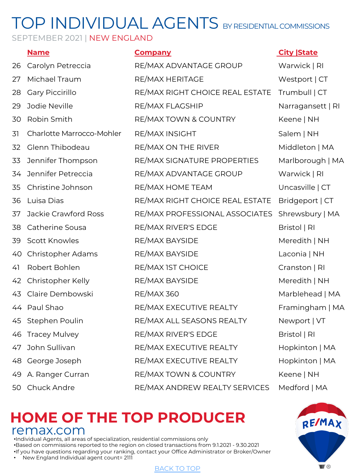SEPTEMBER 2021 | NEW ENGLAND

|    | <b>Name</b>               | <b>Company</b>                  | <b>City State</b> |
|----|---------------------------|---------------------------------|-------------------|
| 26 | Carolyn Petreccia         | RE/MAX ADVANTAGE GROUP          | Warwick   RI      |
| 27 | Michael Traum             | RE/MAX HERITAGE                 | Westport   CT     |
| 28 | Gary Piccirillo           | RE/MAX RIGHT CHOICE REAL ESTATE | Trumbull   CT     |
| 29 | Jodie Neville             | RE/MAX FLAGSHIP                 | Narragansett   RI |
| 30 | Robin Smith               | RE/MAX TOWN & COUNTRY           | Keene   NH        |
| 31 | Charlotte Marrocco-Mohler | RE/MAX INSIGHT                  | Salem   NH        |
| 32 | Glenn Thibodeau           | RE/MAX ON THE RIVER             | Middleton   MA    |
| 33 | Jennifer Thompson         | RE/MAX SIGNATURE PROPERTIES     | Marlborough   MA  |
| 34 | Jennifer Petreccia        | RE/MAX ADVANTAGE GROUP          | Warwick   RI      |
| 35 | Christine Johnson         | RE/MAX HOME TEAM                | Uncasville   CT   |
| 36 | Luisa Dias                | RE/MAX RIGHT CHOICE REAL ESTATE | Bridgeport   CT   |
| 37 | Jackie Crawford Ross      | RE/MAX PROFESSIONAL ASSOCIATES  | Shrewsbury   MA   |
| 38 | Catherine Sousa           | RE/MAX RIVER'S EDGE             | Bristol   RI      |
| 39 | Scott Knowles             | RE/MAX BAYSIDE                  | Meredith   NH     |
| 40 | Christopher Adams         | RE/MAX BAYSIDE                  | Laconia   NH      |
| 41 | Robert Bohlen             | RE/MAX IST CHOICE               | Cranston   RI     |
| 42 | Christopher Kelly         | RE/MAX BAYSIDE                  | Meredith   NH     |
| 43 | Claire Dembowski          | <b>RE/MAX 360</b>               | Marblehead   MA   |
| 44 | Paul Shao                 | RE/MAX EXECUTIVE REALTY         | Framingham   MA   |
| 45 | Stephen Poulin            | RE/MAX ALL SEASONS REALTY       | Newport   VT      |
| 46 | <b>Tracey Mulvey</b>      | RE/MAX RIVER'S EDGE             | Bristol   RI      |
| 47 | John Sullivan             | RE/MAX EXECUTIVE REALTY         | Hopkinton   MA    |
| 48 | George Joseph             | RE/MAX EXECUTIVE REALTY         | Hopkinton   MA    |
| 49 | A. Ranger Curran          | RE/MAX TOWN & COUNTRY           | Keene   NH        |
| 50 | Chuck Andre               | RE/MAX ANDREW REALTY SERVICES   | Medford   MA      |

### **HOME OF THE TOP PRODUCER** remax.com

•Individual Agents, all areas of specialization, residential commissions only •Based on commissions reported to the region on closed transactions from 9.1.2021 - 9.30.2021 •If you have questions regarding your ranking, contact your Office Administrator or Broker/Owner

• New England Individual agent count= 2111

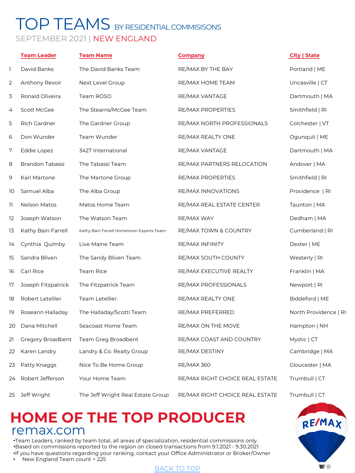## <span id="page-3-0"></span>TOP TEAMS BY RESIDENTIAL COMMISISONS SEPTEMBER 2021 | NEW ENGLAND

|    | <b>Team Leader</b>  | <b>Team Name</b>                         | <b>Company</b>                  | <b>City   State</b>   |
|----|---------------------|------------------------------------------|---------------------------------|-----------------------|
| 1  | David Banks         | The David Banks Team                     | RE/MAX BY THE BAY               | Portland   ME         |
| 2  | Anthony Revoir      | Next Level Group                         | RE/MAX HOME TEAM                | Uncasville   CT       |
| 3  | Ronald Oliveira     | Team ROSO                                | RE/MAX VANTAGE                  | Dartmouth   MA        |
| 4  | Scott McGee         | The Stearns/McGee Team                   | RE/MAX PROPERTIES               | Smithfield   RI       |
| 5  | Rich Gardner        | The Gardner Group                        | RE/MAX NORTH PROFESSIONALS      | Colchester   VT       |
| 6  | Don Wunder          | Team Wunder                              | RE/MAX REALTY ONE               | Ogunquit   ME         |
| 7  | Eddie Lopez         | 3427 International                       | RE/MAX VANTAGE                  | Dartmouth   MA        |
| 8  | Brandon Tabassi     | The Tabassi Team                         | RE/MAX PARTNERS RELOCATION      | Andover   MA          |
| 9  | Karl Martone        | The Martone Group                        | RE/MAX PROPERTIES               | Smithfield   RI       |
| 10 | Samuel Alba         | The Alba Group                           | RE/MAX INNOVATIONS              | Providence   RI       |
| 11 | <b>Nelson Matos</b> | Matos Home Team                          | RE/MAX REAL ESTATE CENTER       | Taunton   MA          |
| 12 | Joseph Watson       | The Watson Team                          | RE/MAX WAY                      | Dedham   MA           |
| 13 | Kathy Bain Farrell  | Kathy Bain Farrell Hometown Experts Team | RE/MAX TOWN & COUNTRY           | Cumberland   RI       |
| 14 | Cynthia Quimby      | Live Maine Team                          | RE/MAX INFINITY                 | Dexter   ME           |
| 15 | Sandra Bliven       | The Sandy Bliven Team                    | RE/MAX SOUTH COUNTY             | Westerly   RI         |
| 16 | Carl Rice           | Team Rice                                | RE/MAX EXECUTIVE REALTY         | Franklin   MA         |
| 17 | Joseph Fitzpatrick  | The Fitzpatrick Team                     | RE/MAX PROFESSIONALS            | Newport   RI          |
| 18 | Robert Letellier    | Team Letellier                           | RE/MAX REALTY ONE               | Biddeford   ME        |
| 19 | Roseann Halladay    | The Halladay/Scotti Team                 | RE/MAX PREFERRED                | North Providence   RI |
| 20 | Dana Mitchell       | Seacoast Home Team                       | RE/MAX ON THE MOVE              | Hampton   NH          |
| 21 | Gregory Broadbent   | Team Greg Broadbent                      | RE/MAX COAST AND COUNTRY        | Mystic   CT           |
| 22 | Karen Landry        | Landry & Co. Realty Group                | RE/MAX DESTINY                  | Cambridge   MA        |
| 23 | Patty Knaggs        | Nice To Be Home Group                    | <b>RE/MAX 360</b>               | Gloucester   MA       |
| 24 | Robert Jefferson    | Your Home Team                           | RE/MAX RIGHT CHOICE REAL ESTATE | Trumbull   CT         |
| 25 | Jeff Wright         | The Jeff Wright Real Estate Group        | RE/MAX RIGHT CHOICE REAL ESTATE | Trumbull   CT         |

## **HOME OF THE TOP PRODUCER** remax.com

•Team Leaders, ranked by team total, all areas of specialization, residential commissions only. •Based on commissions reported to the region on closed transactions from 9.1.2021 - 9.30.2021 •If you have questions regarding your ranking, contact your Office Administrator or Broker/Owner

• New England Team count = 225

#### BACK TO TOP

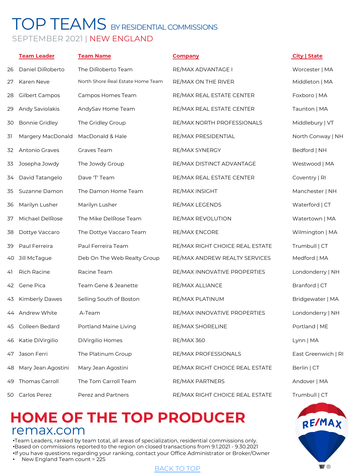### TOP TEAMS BY RESIDENTIAL COMMISSIONS SEPTEMBER 2021 | NEW ENGLAND

|    | <b>Team Leader</b>    | <b>Team Name</b>                  | <b>Company</b>                  | City   State        |
|----|-----------------------|-----------------------------------|---------------------------------|---------------------|
| 26 | Daniel DiRoberto      | The DiRoberto Team                | RE/MAX ADVANTAGE I              | Worcester   MA      |
| 27 | Karen Neve            | North Shore Real Estate Home Team | RE/MAX ON THE RIVER             | Middleton   MA      |
| 28 | <b>Gilbert Campos</b> | Campos Homes Team                 | RE/MAX REAL ESTATE CENTER       | Foxboro   MA        |
| 29 | Andy Saviolakis       | AndySav Home Team                 | RE/MAX REAL ESTATE CENTER       | Taunton   MA        |
| 30 | <b>Bonnie Gridley</b> | The Gridley Group                 | RE/MAX NORTH PROFESSIONALS      | Middlebury   VT     |
| 31 | Margery MacDonald     | MacDonald & Hale                  | RE/MAX PRESIDENTIAL             | North Conway   NH   |
| 32 | Antonio Graves        | Graves Team                       | RE/MAX SYNERGY                  | Bedford   NH        |
| 33 | Josepha Jowdy         | The Jowdy Group                   | RE/MAX DISTINCT ADVANTAGE       | Westwood   MA       |
| 34 | David Tatangelo       | Dave 'T' Team                     | RE/MAX REAL ESTATE CENTER       | Coventry   RI       |
| 35 | Suzanne Damon         | The Damon Home Team               | <b>RE/MAX INSIGHT</b>           | Manchester   NH     |
| 36 | Marilyn Lusher        | Marilyn Lusher                    | RE/MAX LEGENDS                  | Waterford   CT      |
| 37 | Michael DelRose       | The Mike DelRose Team             | RE/MAX REVOLUTION               | Watertown   MA      |
| 38 | Dottye Vaccaro        | The Dottye Vaccaro Team           | RE/MAX ENCORE                   | Wilmington   MA     |
| 39 | Paul Ferreira         | Paul Ferreira Team                | RE/MAX RIGHT CHOICE REAL ESTATE | Trumbull   CT       |
| 40 | Jill McTague          | Deb On The Web Realty Group       | RE/MAX ANDREW REALTY SERVICES   | Medford   MA        |
| 41 | Rich Racine           | Racine Team                       | RE/MAX INNOVATIVE PROPERTIES    | Londonderry   NH    |
| 42 | Gene Pica             | Team Gene & Jeanette              | RE/MAX ALLIANCE                 | Branford   CT       |
| 43 | <b>Kimberly Dawes</b> | Selling South of Boston           | RE/MAX PLATINUM                 | Bridgewater   MA    |
| 44 | Andrew White          | A-Team                            | RE/MAX INNOVATIVE PROPERTIES    | Londonderry   NH    |
| 45 | Colleen Bedard        | Portland Maine Living             | RE/MAX SHORELINE                | Portland   ME       |
|    | 46 Katie DiVirgilio   | DiVirgilio Homes                  | <b>RE/MAX 360</b>               | Lynn   MA           |
| 47 | Jason Ferri           | The Platinum Group                | RE/MAX PROFESSIONALS            | East Greenwich   RI |
| 48 | Mary Jean Agostini    | Mary Jean Agostini                | RE/MAX RIGHT CHOICE REAL ESTATE | Berlin   CT         |
| 49 | Thomas Carroll        | The Tom Carroll Team              | RE/MAX PARTNERS                 | Andover   MA        |
| 50 | Carlos Perez          | Perez and Partners                | RE/MAX RIGHT CHOICE REAL ESTATE | Trumbull   CT       |

## **HOME OF THE TOP PRODUCER** remax.com

•Team Leaders, ranked by team total, all areas of specialization, residential commissions only. •Based on commissions reported to the region on closed transactions from 9.1.2021 - 9.30.2021 •If you have questions regarding your ranking, contact your Office Administrator or Broker/Owner

• New England Team count = 225

#### BACK TO TOP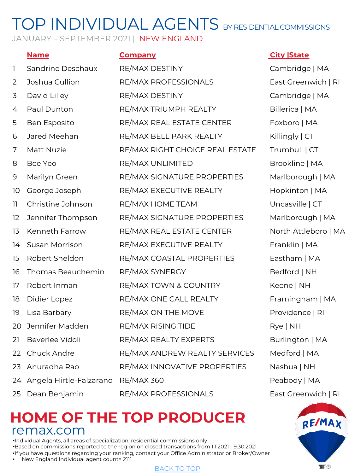JANUARY – SEPTEMBER 2021 | NEW ENGLAND

| $\mathbb{I}$ | Sandrine Deschaux       | RE/MAX DESTINY                  | Cambrid          |
|--------------|-------------------------|---------------------------------|------------------|
| 2            | Joshua Cullion          | RE/MAX PROFESSIONALS            | East Gree        |
| 3            | David Lilley            | RE/MAX DESTINY                  | Cambrid          |
| 4            | Paul Dunton             | RE/MAX TRIUMPH REALTY           | Billerica        |
| 5            | Ben Esposito            | RE/MAX REAL ESTATE CENTER       | Foxboro          |
| 6            | Jared Meehan            | RE/MAX BELL PARK REALTY         | Killingly        |
| 7            | Matt Nuzie              | RE/MAX RIGHT CHOICE REAL ESTATE | Trumbull         |
| 8            | Bee Yeo                 | RE/MAX UNLIMITED                | <b>Brookline</b> |
| $\mathsf 9$  | Marilyn Green           | RE/MAX SIGNATURE PROPERTIES     | Marlboro         |
| 10           | George Joseph           | RE/MAX EXECUTIVE REALTY         | Hopkintc         |
| 11           | Christine Johnson       | RE/MAX HOME TEAM                | Uncasvill        |
| 12           | Jennifer Thompson       | RE/MAX SIGNATURE PROPERTIES     | Marlboro         |
| 13           | Kenneth Farrow          | RE/MAX REAL ESTATE CENTER       | North Att        |
| 14           | Susan Morrison          | RE/MAX EXECUTIVE REALTY         | Franklin         |
| 15           | Robert Sheldon          | RE/MAX COASTAL PROPERTIES       | Eastham          |
| 16           | Thomas Beauchemin       | RE/MAX SYNERGY                  | Bedford          |
| 17           | Robert Inman            | RE/MAX TOWN & COUNTRY           | Keene   N        |
| 18           | Didier Lopez            | RE/MAX ONE CALL REALTY          | Framingh         |
| 19           | Lisa Barbary            | RE/MAX ON THE MOVE              | Providen         |
| 20           | Jennifer Madden         | RE/MAX RISING TIDE              | Rye   NH         |
| 21           | Beverlee Vidoli         | RE/MAX REALTY EXPERTS           | <b>Burlingto</b> |
| 22           | Chuck Andre             | RE/MAX ANDREW REALTY SERVICES   | Medford          |
| 23           | Anuradha Rao            | RE/MAX INNOVATIVE PROPERTIES    | Nashua           |
| 24           | Angela Hirtle-Falzarano | <b>RE/MAX 360</b>               | Peabody          |
| 25           | Dean Benjamin           | RE/MAX PROFESSIONALS            | East Gree        |

### <span id="page-5-0"></span>**Name is a company of the City State City State**

Cambridge | MA East Greenwich | RI Cambridge | MA Billerica | MA Foxboro | MA  $Killingly | CT$ Trumbull | CT Brookline | MA Marlborough | MA Hopkinton | MA Uncasville | CT Marlborough | MA North Attleboro | MA Franklin | MA Eastham | MA Bedford | NH Keene | NH Framingham | MA Providence | RI Burlington | MA Medford | MA Nashua | NH Peabody | MA East Greenwich | RI



### **HOME OF THE TOP PRODUCER** remax.com

•Individual Agents, all areas of specialization, residential commissions only •Based on commissions reported to the region on closed transactions from 1.1.2021 - 9.30.2021 •If you have questions regarding your ranking, contact your Office Administrator or Broker/Owner

• New England Individual agent count= 2111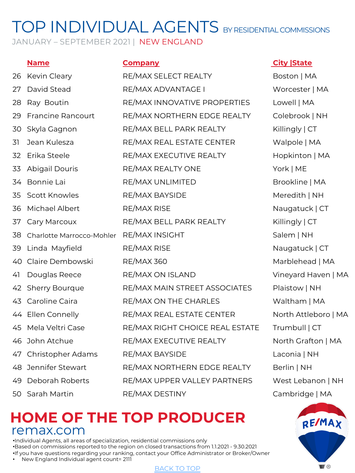JANUARY - SEPTEMBER 2021 | NEW ENGLAND

| 26  | Kevin Cleary              | RE/MAX SELECT REALTY            |
|-----|---------------------------|---------------------------------|
| 27  | David Stead               | RE/MAX ADVANTAGE I              |
| 28  | Ray Boutin                | RE/MAX INNOVATIVE PROPERTIES    |
| 29  | <b>Francine Rancourt</b>  | RE/MAX NORTHERN EDGE REALTY     |
| 30  | Skyla Gagnon              | RE/MAX BELL PARK REALTY         |
| 31  | Jean Kulesza              | RE/MAX REAL ESTATE CENTER       |
| 32  | Erika Steele              | RE/MAX EXECUTIVE REALTY         |
| 33  | <b>Abigail Douris</b>     | RE/MAX REALTY ONE               |
| 34  | Bonnie Lai                | RE/MAX UNLIMITED                |
| 35  | Scott Knowles             | RE/MAX BAYSIDE                  |
| 36  | Michael Albert            | <b>RE/MAX RISE</b>              |
| 37  | Cary Marcoux              | RE/MAX BELL PARK REALTY         |
| 38  | Charlotte Marrocco-Mohler | RE/MAX INSIGHT                  |
| 39  | Linda Mayfield            | <b>RE/MAX RISE</b>              |
| 40  | Claire Dembowski          | <b>RE/MAX 360</b>               |
| 41  | Douglas Reece             | RE/MAX ON ISLAND                |
| 42  | Sherry Bourque            | RE/MAX MAIN STREET ASSOCIATES   |
| 43  | Caroline Caira            | RE/MAX ON THE CHARLES           |
|     | 44 Ellen Connelly         | RE/MAX REAL ESTATE CENTER       |
| 45  | Mela Veltri Case          | RE/MAX RIGHT CHOICE REAL ESTATE |
| 46  | John Atchue               | RE/MAX EXECUTIVE REALTY         |
| 47  | Christopher Adams         | RE/MAX BAYSIDE                  |
| 48. | Jennifer Stewart          | RE/MAX NORTHERN EDGE REALTY     |
| 49  | Deborah Roberts           | RE/MAX UPPER VALLEY PARTNERS    |
| 50  | Sarah Martin              | <b>RE/MAX DESTINY</b>           |

### **Name Company City |State**

Boston | MA Worcester | MA Lowell | MA Colebrook | NH  $Killingly | CT$ Walpole | MA Hopkinton | MA York | ME Brookline | MA Meredith | NH Naugatuck | CT Killingly | CT Salem | NH Naugatuck | CT Marblehead | MA Vineyard Haven | MA Plaistow | NH Waltham | MA North Attleboro | MA Trumbull | CT North Grafton | MA Laconia | NH Berlin | NH West Lebanon | NH Cambridge | MA



## **HOME OF THE TOP PRODUCER** remax.com

•Individual Agents, all areas of specialization, residential commissions only •Based on commissions reported to the region on closed transactions from 1.1.2021 - 9.30.2021 •If you have questions regarding your ranking, contact your Office Administrator or Broker/Owner

• New England Individual agent count= 2111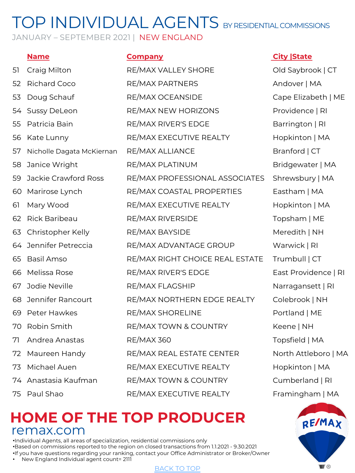JANUARY - SEPTEMBER 2021 | NEW ENGLAND

| 51 | Craig Milton              | RE/MAX VALLEY SHORE            |
|----|---------------------------|--------------------------------|
| 52 | <b>Richard Coco</b>       | RE/MAX PARTNERS                |
| 53 | Doug Schauf               | RE/MAX OCEANSIDE               |
|    | 54 Sussy DeLeon           | RE/MAX NEW HORIZONS            |
| 55 | Patricia Bain             | RE/MAX RIVER'S EDGE            |
| 56 | Kate Lunny                | RE/MAX EXECUTIVE REALTY        |
| 57 | Nicholle Dagata McKiernan | RE/MAX ALLIANCE                |
| 58 | Janice Wright             | RE/MAX PLATINUM                |
| 59 | Jackie Crawford Ross      | RE/MAX PROFESSIONAL ASSOCIATI  |
| 60 | Marirose Lynch            | RE/MAX COASTAL PROPERTIES      |
| 61 | Mary Wood                 | RE/MAX EXECUTIVE REALTY        |
| 62 | Rick Baribeau             | RE/MAX RIVERSIDE               |
| 63 | Christopher Kelly         | RE/MAX BAYSIDE                 |
| 64 | Jennifer Petreccia        | RE/MAX ADVANTAGE GROUP         |
| 65 | <b>Basil Amso</b>         | RE/MAX RIGHT CHOICE REAL ESTAT |
| 66 | Melissa Rose              | RE/MAX RIVER'S EDGE            |
| 67 | Jodie Neville             | RE/MAX FLAGSHIP                |
| 68 | Jennifer Rancourt         | RE/MAX NORTHERN EDGE REALTY    |
| 69 | Peter Hawkes              | RE/MAX SHORELINE               |
| 70 | Robin Smith               | RE/MAX TOWN & COUNTRY          |
| 71 | Andrea Anastas            | RE/MAX 360                     |
| 72 | Maureen Handy             | RE/MAX REAL ESTATE CENTER      |
| 73 | Michael Auen              | RE/MAX EXECUTIVE REALTY        |
|    | 74 Anastasia Kaufman      | RE/MAX TOWN & COUNTRY          |
| 75 | Paul Shao                 | RE/MAX EXECUTIVE REALTY        |

### **Name Company City |State**

Old Saybrook | CT Andover | MA Cape Elizabeth | ME Providence | RI Barrington | RI Hopkinton | MA Branford | CT Bridgewater | MA ES Shrewsbury | MA Eastham | MA Hopkinton | MA Topsham | ME Meredith | NH Warwick | RI FE Trumbull | CT East Providence | RI Narragansett | RI Colebrook | NH Portland | ME Keene | NH Topsfield | MA North Attleboro | MA Hopkinton | MA Cumberland | RI Framingham | MA



### **HOME OF THE TOP PRODUCER** remax.com

•Individual Agents, all areas of specialization, residential commissions only •Based on commissions reported to the region on closed transactions from 1.1.2021 - 9.30.2021 •If you have questions regarding your ranking, contact your Office Administrator or Broker/Owner

• New England Individual agent count= 2111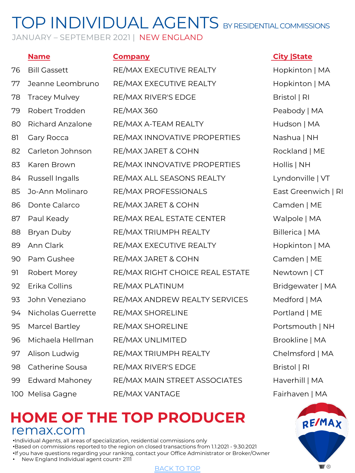JANUARY - SEPTEMBER 2021 | NEW ENGLAND

|    | <b>Name</b>             | <b>Company</b>                  |
|----|-------------------------|---------------------------------|
| 76 | <b>Bill Gassett</b>     | RE/MAX EXECUTIVE REALTY         |
| 77 | Jeanne Leombruno        | RE/MAX EXECUTIVE REALTY         |
| 78 | <b>Tracey Mulvey</b>    | RE/MAX RIVER'S EDGE             |
| 79 | Robert Trodden          | <b>RE/MAX 360</b>               |
| 80 | <b>Richard Anzalone</b> | RE/MAX A-TEAM REALTY            |
| 81 | Gary Rocca              | <b>RE/MAX INNOVATIVE PROPE</b>  |
| 82 | Carleton Johnson        | RE/MAX JARET & COHN             |
| 83 | Karen Brown             | RE/MAX INNOVATIVE PROPE         |
| 84 | Russell Ingalls         | RE/MAX ALL SEASONS REAL         |
| 85 | Jo-Ann Molinaro         | <b>RE/MAX PROFESSIONALS</b>     |
| 86 | Donte Calarco           | RE/MAX JARET & COHN             |
| 87 | Paul Keady              | RE/MAX REAL ESTATE CENTE        |
| 88 | Bryan Duby              | RE/MAX TRIUMPH REALTY           |
| 89 | Ann Clark               | RE/MAX EXECUTIVE REALTY         |
| 90 | Pam Gushee              | RE/MAX JARET & COHN             |
| 91 | Robert Morey            | <b>RE/MAX RIGHT CHOICE REAI</b> |
| 92 | Erika Collins           | RE/MAX PLATINUM                 |
| 93 | John Veneziano          | RE/MAX ANDREW REALTY SI         |
| 94 | Nicholas Guerrette      | RE/MAX SHORELINE                |
| 95 | Marcel Bartley          | <b>RE/MAX SHORELINE</b>         |
| 96 | Michaela Hellman        | RE/MAX UNLIMITED                |
| 97 | Alison Ludwig           | RE/MAX TRIUMPH REALTY           |
| 98 | Catherine Sousa         | RE/MAX RIVER'S EDGE             |
| 99 | <b>Edward Mahoney</b>   | RE/MAX MAIN STREET ASSO         |
|    | 100 Melisa Gagne        | RE/MAX VANTAGE                  |

### **City |State**

Hopkinton | MA Hopkinton | MA Bristol | RI Peabody | MA Hudson | MA ERTIES Nashua | NH Rockland | ME ERTIES Hollis | NH TY Lyndonville | VT East Greenwich | RI Camden | ME ER Walpole | MA Billerica | MA Hopkinton | MA Camden | ME L ESTATE Newtown | CT Bridgewater | MA ERVICES Medford | MA Portland | ME Portsmouth | NH Brookline | MA Chelmsford | MA Bristol | RI CIATES Haverhill | MA Fairhaven | MA



### **HOME OF THE TOP PRODUCER** remax.com

•Individual Agents, all areas of specialization, residential commissions only •Based on commissions reported to the region on closed transactions from 1.1.2021 - 9.30.2021 •If you have questions regarding your ranking, contact your Office Administrator or Broker/Owner

• New England Individual agent count= 2111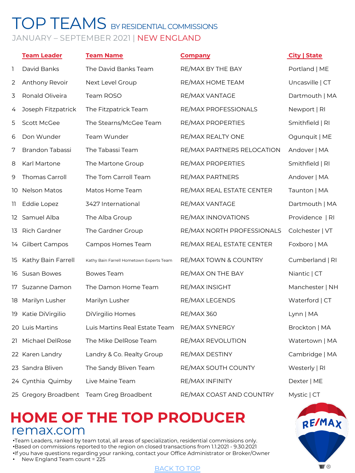### <span id="page-9-0"></span>TOP TEAMS BY RESIDENTIAL COMMISSIONS JANUARY – SEPTEMBER 2021 | NEW ENGLAND

|    | <b>Team Leader</b>   | <b>Team Name</b>                         | <b>Company</b>             | City   State    |
|----|----------------------|------------------------------------------|----------------------------|-----------------|
| 1  | David Banks          | The David Banks Team                     | RE/MAX BY THE BAY          | Portland   ME   |
| 2  | Anthony Revoir       | Next Level Group                         | RE/MAX HOME TEAM           | Uncasville   CT |
| 3  | Ronald Oliveira      | Team ROSO                                | RE/MAX VANTAGE             | Dartmouth   MA  |
| 4  | Joseph Fitzpatrick   | The Fitzpatrick Team                     | RE/MAX PROFESSIONALS       | Newport   RI    |
| 5  | Scott McGee          | The Stearns/McGee Team                   | RE/MAX PROPERTIES          | Smithfield   RI |
| 6  | Don Wunder           | Team Wunder                              | RE/MAX REALTY ONE          | Ogunquit   ME   |
| 7  | Brandon Tabassi      | The Tabassi Team                         | RE/MAX PARTNERS RELOCATION | Andover   MA    |
| 8  | Karl Martone         | The Martone Group                        | RE/MAX PROPERTIES          | Smithfield   RI |
| 9  | Thomas Carroll       | The Tom Carroll Team                     | RE/MAX PARTNERS            | Andover   MA    |
| 10 | <b>Nelson Matos</b>  | Matos Home Team                          | RE/MAX REAL ESTATE CENTER  | Taunton   MA    |
| 11 | Eddie Lopez          | 3427 International                       | RE/MAX VANTAGE             | Dartmouth   MA  |
|    | 12 Samuel Alba       | The Alba Group                           | RE/MAX INNOVATIONS         | Providence   RI |
| 13 | Rich Gardner         | The Gardner Group                        | RE/MAX NORTH PROFESSIONALS | Colchester   VT |
|    | 14 Gilbert Campos    | Campos Homes Team                        | RE/MAX REAL ESTATE CENTER  | Foxboro   MA    |
| 15 | Kathy Bain Farrell   | Kathy Bain Farrell Hometown Experts Team | RE/MAX TOWN & COUNTRY      | Cumberland   RI |
| 16 | Susan Bowes          | Bowes Team                               | RE/MAX ON THE BAY          | Niantic   CT    |
| 17 | Suzanne Damon        | The Damon Home Team                      | RE/MAX INSIGHT             | Manchester   NH |
| 18 | Marilyn Lusher       | Marilyn Lusher                           | RE/MAX LEGENDS             | Waterford   CT  |
| 19 | Katie DiVirgilio     | DiVirgilio Homes                         | <b>RE/MAX 360</b>          | Lynn   MA       |
|    | 20 Luis Martins      | Luis Martins Real Estate Team            | RE/MAX SYNERGY             | Brockton   MA   |
|    | 21 Michael DelRose   | The Mike DelRose Team                    | RE/MAX REVOLUTION          | Watertown   MA  |
|    | 22 Karen Landry      | Landry & Co. Realty Group                | RE/MAX DESTINY             | Cambridge   MA  |
|    | 23 Sandra Bliven     | The Sandy Bliven Team                    | RE/MAX SOUTH COUNTY        | Westerly   RI   |
|    | 24 Cynthia Quimby    | Live Maine Team                          | RE/MAX INFINITY            | Dexter   ME     |
|    | 25 Gregory Broadbent | Team Greg Broadbent                      | RE/MAX COAST AND COUNTRY   | Mystic   CT     |

## **HOME OF THE TOP PRODUCER** remax.com

•Team Leaders, ranked by team total, all areas of specialization, residential commissions only. •Based on commissions reported to the region on closed transactions from 1.1.2021 - 9.30.2021 •If you have questions regarding your ranking, contact your Office Administrator or Broker/Owner

• New England Team count = 225

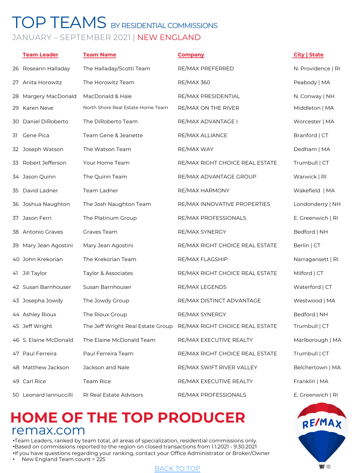## TOP TEAMS BY RESIDENTIAL COMMISSIONS JANUARY – SEPTEMBER 2021 | NEW ENGLAND

|    | <b>Team Leader</b>     | <b>Team Name</b>                  | <b>Company</b>                  | City   State       |
|----|------------------------|-----------------------------------|---------------------------------|--------------------|
|    | 26 Roseann Halladay    | The Halladay/Scotti Team          | RE/MAX PREFERRED                | N. Providence   RI |
|    | 27 Anita Horowitz      | The Horowitz Team                 | <b>RE/MAX 360</b>               | Peabody   MA       |
|    | 28 Margery MacDonald   | MacDonald & Hale                  | RE/MAX PRESIDENTIAL             | N. Conway   NH     |
| 29 | Karen Neve             | North Shore Real Estate Home Team | RE/MAX ON THE RIVER             | Middleton   MA     |
|    | 30 Daniel DiRoberto    | The DiRoberto Team                | RE/MAX ADVANTAGE I              | Worcester   MA     |
| 31 | Gene Pica              | Team Gene & Jeanette              | RE/MAX ALLIANCE                 | Branford   CT      |
|    | 32 Joseph Watson       | The Watson Team                   | RE/MAX WAY                      | Dedham   MA        |
| 33 | Robert Jefferson       | Your Home Team                    | RE/MAX RIGHT CHOICE REAL ESTATE | Trumbull   CT      |
|    | 34 Jason Quinn         | The Quinn Team                    | RE/MAX ADVANTAGE GROUP          | Warwick   RI       |
|    | 35 David Ladner        | Team Ladner                       | RE/MAX HARMONY                  | Wakefield   MA     |
|    | 36 Joshua Naughton     | The Josh Naughton Team            | RE/MAX INNOVATIVE PROPERTIES    | Londonderry   NH   |
|    | 37 Jason Ferri         | The Platinum Group                | RE/MAX PROFESSIONALS            | E. Greenwich   RI  |
|    | 38 Antonio Graves      | Graves Team                       | RE/MAX SYNERGY                  | Bedford   NH       |
|    | 39 Mary Jean Agostini  | Mary Jean Agostini                | RE/MAX RIGHT CHOICE REAL ESTATE | Berlin   CT        |
|    | 40 John Krekorian      | The Krekorian Team                | RE/MAX FLAGSHIP                 | Narragansett   RI  |
| 41 | Jill Taylor            | Taylor & Associates               | RE/MAX RIGHT CHOICE REAL ESTATE | Milford   CT       |
|    | 42 Susan Barnhouser    | Susan Barnhouser                  | RE/MAX LEGENDS                  | Waterford   CT     |
|    | 43 Josepha Jowdy       | The Jowdy Group                   | RE/MAX DISTINCT ADVANTAGE       | Westwood   MA      |
|    | 44 Ashley Rioux        | The Rioux Group                   | RE/MAX SYNERGY                  | Bedford   NH       |
|    | 45 Jeff Wright         | The Jeff Wright Real Estate Group | RE/MAX RIGHT CHOICE REAL ESTATE | Trumbull   CT      |
|    | 46 S. Elaine McDonald  | The Elaine McDonald Team          | RE/MAX EXECUTIVE REALTY         | Marlborough   MA   |
|    | 47 Paul Ferreira       | Paul Ferreira Team                | RE/MAX RIGHT CHOICE REAL ESTATE | Trumbull   CT      |
|    | 48 Matthew Jackson     | Jackson and Nale                  | RE/MAX SWIFT RIVER VALLEY       | Belchertown   MA   |
|    | 49 Carl Rice           | Team Rice                         | RE/MAX EXECUTIVE REALTY         | Franklin   MA      |
|    | 50 Leonard Iannuccilli | RI Real Estate Advisors           | RE/MAX PROFESSIONALS            | E. Greenwich   RI  |

## **HOME OF THE TOP PRODUCER** remax.com

•Team Leaders, ranked by team total, all areas of specialization, residential commissions only. •Based on commissions reported to the region on closed transactions from 1.1.2021 - 9.30.2021 •If you have questions regarding your ranking, contact your Office Administrator or Broker/Owner

• New England Team count = 225

#### BACK TO TOP

 $\blacksquare$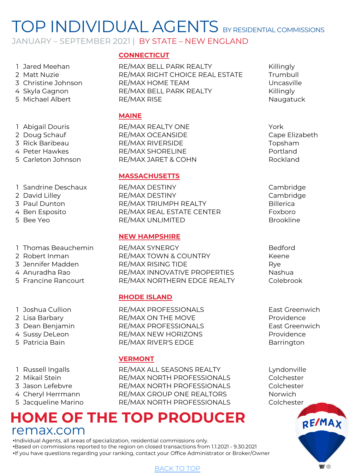JANUARY – SEPTEMBER 2021 | BY STATE – NEW ENGLAND

- 
- 
- 
- 
- 
- 
- 
- 
- 
- 
- 
- 
- 
- 
- 
- 
- 
- 
- 
- 

- 
- 
- 
- 
- 
- 
- 
- 
- 

### <span id="page-11-0"></span>**CONNECTICUT**

1 Jared Meehan **RE/MAX BELL PARK REALTY** Killingly 2 Matt Nuzie RE/MAX RIGHT CHOICE REAL ESTATE Trumbull 3 Christine Johnson RE/MAX HOME TEAM Uncasville 4 Skyla Gagnon **RE/MAX BELL PARK REALTY** Killingly 5 Michael Albert **RE/MAX RISE** Naugatuck

#### **MAINE**

1 Abigail Douris **RE/MAX REALTY ONE** York 2 Doug Schauf **RE/MAX OCEANSIDE** Cape Elizabeth 3 Rick Baribeau RE/MAX RIVERSIDE Topsham 4 Peter Hawkes **RE/MAX SHORELINE** Portland 5 Carleton Johnson RE/MAX JARET & COHN Rockland

### **MASSACHUSETTS**

1 Sandrine Deschaux RE/MAX DESTINY Cambridge 2 David Lilley RE/MAX DESTINY Cambridge 3 Paul Dunton RE/MAX TRIUMPH REALTY Billerica 4 Ben Esposito RE/MAX REAL ESTATE CENTER Foxboro 5 Bee Yeo RE/MAX UNLIMITED Brookline

### **NEW HAMPSHIRE**

1 Thomas Beauchemin RE/MAX SYNERGY **Bedford** 2 Robert Inman **RE/MAX TOWN & COUNTRY** Keene 3 Jennifer Madden RE/MAX RISING TIDE Rye 4 Anuradha Rao RE/MAX INNOVATIVE PROPERTIES Nashua 5 Francine Rancourt RE/MAX NORTHERN EDGE REALTY Colebrook

### **RHODE ISLAND**

1 Joshua Cullion RE/MAX PROFESSIONALS East Greenwich 2 Lisa Barbary **RE/MAX ON THE MOVE** Providence 3 Dean Benjamin RE/MAX PROFESSIONALS East Greenwich 4 Sussy DeLeon **RE/MAX NEW HORIZONS** Providence 5 Patricia Bain **RE/MAX RIVER'S EDGE** Barrington

### **VERMONT**

1 Russell Ingalls RE/MAX ALL SEASONS REALTY Lyndonville 2 Mikail Stein **RE/MAX NORTH PROFESSIONALS** Colchester 3 Jason Lefebvre RE/MAX NORTH PROFESSIONALS Colchester 4 Cheryl Herrmann **RE/MAX GROUP ONE REALTORS** Norwich 5 Jacqueline Marino RE/MAX NORTH PROFESSIONALS Colchester

### **HOME OF THE TOP PRODUCER** remax.com

•Individual Agents, all areas of specialization, residential commissions only. •Based on commissions reported to the region on closed transactions from 1.1.2021 - 9.30.2021

•If you have questions regarding your ranking, contact your Office Administrator or Broker/Owner

- 
- 
- 
- 

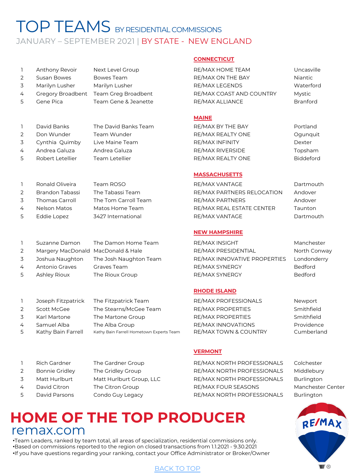## TOP TEAMS BY RESIDENTIAL COMMISSIONS JANUARY - SEPTEMBER 2021 | BY STATE - NEW ENGLAND

|               | Anthony Revoir    | Next Level Group    |
|---------------|-------------------|---------------------|
| $\mathcal{L}$ | Susan Bowes       | Bowes Team          |
| ス             | Marilyn Lusher    | Marilyn Lusher      |
| 4             | Gregory Broadbent | Team Greg Broadber  |
| 5             | Gene Pica         | Team Gene & Jeanett |
|               |                   |                     |

|               | David Banks      | The David Banks Team  |
|---------------|------------------|-----------------------|
| $\mathcal{P}$ | Don Wunder       | Team Wunder           |
| 3             | Cynthia Quimby   | Live Maine Team       |
| 4             | Andrea Galuza    | Andrea Galuza         |
| 5             | Robert Letellier | <b>Team Letellier</b> |
|               |                  |                       |

|   | Ronald Oliveira       | Team ROSO            |
|---|-----------------------|----------------------|
| 2 | Brandon Tabassi       | The Tabassi Team     |
| 3 | <b>Thomas Carroll</b> | The Tom Carroll Tear |
| 4 | <b>Nelson Matos</b>   | Matos Home Team      |
| 5 | Eddie Lopez           | 3427 International   |

|              | Suzanne Damon                      | The Damon Home Team    |
|--------------|------------------------------------|------------------------|
| 2            | Margery MacDonald MacDonald & Hale |                        |
| 3            | Joshua Naughton                    | The Josh Naughton Team |
| 4            | Antonio Graves                     | Graves Team            |
| $\mathbf{r}$ | $A =  A $                          | Tha Diayay Cayay       |

### 1 Joseph Fitzpatrick The Fitzpatrick Team RE/MAX PROFESSIONALS Newport 2 Scott McGee The Stearns/McGee Team RE/MAX PROPERTIES Smithfield 3 Karl Martone The Martone Group RE/MAX PROPERTIES Smithfield

4 Samuel Alba The Alba Group RE/MAX INNOVATIONS Providence 5 Kathy Bain Farrell Kathy Bain Farrell Hometown Experts Team RE/MAX TOWN & COUNTRY Cumberland

- 
- 
- 

#### <span id="page-12-0"></span>**CONNECTICUT**

RE/MAX HOME TEAM Uncasville RE/MAX ON THE BAY Niantic RE/MAX LEGENDS Waterford 1t Greg Broad Broad Broad Broad Broadband Re/MAX COAST AND COUNTRY Mystic ERE/MAX ALLIANCE Branford

#### **MAINE**

RE/MAX BY THE BAY Portland RE/MAX REALTY ONE Ogunquit RE/MAX INFINITY Dexter RE/MAX RIVERSIDE Topsham RE/MAX REALTY ONE Biddeford

#### **MASSACHUSETTS**

RE/MAX VANTAGE Dartmouth RE/MAX PARTNERS RELOCATION Andover 3 Thomas Carroll The Tom Carroll Team RE/MAX PARTNERS Andover RE/MAX REAL ESTATE CENTER Taunton RE/MAX VANTAGE Dartmouth

#### **NEW HAMPSHIRE**

RE/MAX INSIGHT Manchester RE/MAX PRESIDENTIAL North Conway RE/MAX INNOVATIVE PROPERTIES Londonderry RE/MAX SYNERGY Bedford 5 Ashley Rioux The Rioux Group RE/MAX SYNERGY RESOLUTION Bedford

#### **RHODE ISLAND**

#### **VERMONT**

1 Rich Gardner The Gardner Group RE/MAX NORTH PROFESSIONALS Colchester 2 Bonnie Gridley The Gridley Group **RE/MAX NORTH PROFESSIONALS** Middlebury 3 Matt Hurlburt Matt Hurlburt Group, LLC RE/MAX NORTH PROFESSIONALS Burlington 4 David Citron The Citron Group **RE/MAX FOUR SEASONS** Manchester Center 5 David Parsons Condo Guy Legacy RE/MAX NORTH PROFESSIONALS Burlington



## **HOME OF THE TOP PRODUCER** remax.com

•Team Leaders, ranked by team total, all areas of specialization, residential commissions only. •Based on commissions reported to the region on closed transactions from 1.1.2021 - 9.30.2021 •If you have questions regarding your ranking, contact your Office Administrator or Broker/Owner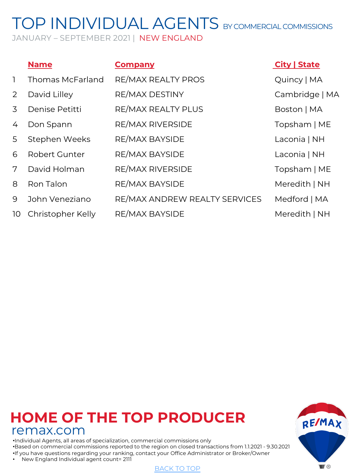# <span id="page-13-0"></span>TOP INDIVIDUAL AGENTS BY COMMERCIAL COMMISSIONS

JANUARY – SEPTEMBER 2021 | NEW ENGLAND

|              | <b>Name</b>             | <b>Company</b>                | <b>City   State</b> |
|--------------|-------------------------|-------------------------------|---------------------|
| $\mathbf{1}$ | <b>Thomas McFarland</b> | RE/MAX REALTY PROS            | Quincy   MA         |
| 2            | David Lilley            | RE/MAX DESTINY                | Cambridge   MA      |
| 3            | Denise Petitti          | RE/MAX REALTY PLUS            | Boston   MA         |
| 4            | Don Spann               | <b>RE/MAX RIVERSIDE</b>       | Topsham   ME        |
| 5            | Stephen Weeks           | <b>RE/MAX BAYSIDE</b>         | Laconia   NH        |
| 6            | Robert Gunter           | <b>RE/MAX BAYSIDE</b>         | Laconia   NH        |
| 7            | David Holman            | RE/MAX RIVERSIDE              | Topsham   ME        |
| 8            | Ron Talon               | <b>RE/MAX BAYSIDE</b>         | Meredith   NH       |
| 9            | John Veneziano          | RE/MAX ANDREW REALTY SERVICES | Medford   MA        |
| 10           | Christopher Kelly       | <b>RE/MAX BAYSIDE</b>         | Meredith   NH       |

## **HOME OF THE TOP PRODUCER** remax.com

•Individual Agents, all areas of specialization, commercial commissions only •Based on commercial commissions reported to the region on closed transactions from 1.1.2021 - 9.30.2021 •If you have questions regarding your ranking, contact your Office Administrator or Broker/Owner

• New England Individual agent count= 2111



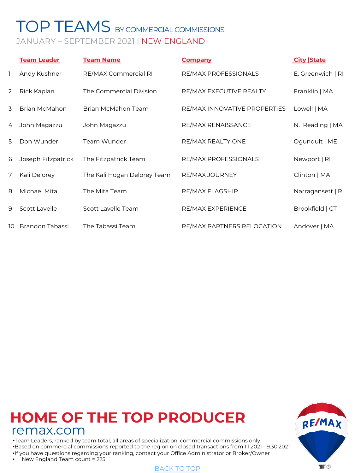## <span id="page-14-0"></span>TOP TEAMS BY COMMERCIAL COMMISSIONS JANUARY – SEPTEMBER 2021 | NEW ENGLAND

|    | <b>Team Leader</b>   | <b>Team Name</b>            | <b>Company</b>               | <b>City State</b> |
|----|----------------------|-----------------------------|------------------------------|-------------------|
| 1  | Andy Kushner         | RE/MAX Commercial RI        | RE/MAX PROFESSIONALS         | E. Greenwich   RI |
| 2  | Rick Kaplan          | The Commercial Division     | RE/MAX EXECUTIVE REALTY      | Franklin   MA     |
| 3  | Brian McMahon        | Brian McMahon Team          | RE/MAX INNOVATIVE PROPERTIES | Lowell   MA       |
| 4  | John Magazzu         | John Magazzu                | RE/MAX RENAISSANCE           | N. Reading   MA   |
| 5  | Don Wunder           | Team Wunder                 | RE/MAX REALTY ONE            | Ogunquit   ME     |
| 6  | Joseph Fitzpatrick   | The Fitzpatrick Team        | RE/MAX PROFESSIONALS         | Newport   RI      |
| 7  | Kali Delorey         | The Kali Hogan Delorey Team | RE/MAX JOURNEY               | Clinton   MA      |
| 8  | Michael Mita         | The Mita Team               | RE/MAX FLAGSHIP              | Narragansett   RI |
| 9  | <b>Scott Lavelle</b> | Scott Lavelle Team          | RE/MAX EXPERIENCE            | Brookfield   CT   |
| 10 | Brandon Tabassi      | The Tabassi Team            | RE/MAX PARTNERS RELOCATION   | Andover   MA      |

## **HOME OF THE TOP PRODUCER** remax.com

•Team Leaders, ranked by team total, all areas of specialization, commercial commissions only. •Based on commercial commissions reported to the region on closed transactions from 1.1.2021 - 9.30.2021 •If you have questions regarding your ranking, contact your Office Administrator or Broker/Owner

• New England Team count = 225



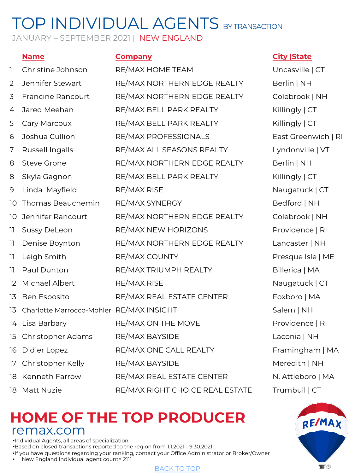# TOP INDIVIDUAL AGENTS BY TRANSACTION

JANUARY – SEPTEMBER 2021 | NEW ENGLAND

| L                 | Christine Johnson                        | RE/MAX HOME TEAM                |
|-------------------|------------------------------------------|---------------------------------|
| 2                 | Jennifer Stewart                         | RE/MAX NORTHERN EDGE REALTY     |
| 3                 | <b>Francine Rancourt</b>                 | RE/MAX NORTHERN EDGE REALTY     |
| 4                 | Jared Meehan                             | RE/MAX BELL PARK REALTY         |
| 5                 | Cary Marcoux                             | RE/MAX BELL PARK REALTY         |
| 6                 | Joshua Cullion                           | RE/MAX PROFESSIONALS            |
| 7                 | <b>Russell Ingalls</b>                   | RE/MAX ALL SEASONS REALTY       |
| 8                 | <b>Steve Grone</b>                       | RE/MAX NORTHERN EDGE REALTY     |
| 8                 | Skyla Gagnon                             | RE/MAX BELL PARK REALTY         |
| 9                 | Linda Mayfield                           | <b>RE/MAX RISE</b>              |
| 10                | Thomas Beauchemin                        | RE/MAX SYNERGY                  |
| 10                | Jennifer Rancourt                        | RE/MAX NORTHERN EDGE REALTY     |
| 11                | <b>Sussy DeLeon</b>                      | RE/MAX NEW HORIZONS             |
| 11                | Denise Boynton                           | RE/MAX NORTHERN EDGE REALTY     |
| 11                | Leigh Smith                              | RE/MAX COUNTY                   |
| 11                | Paul Dunton                              | RE/MAX TRIUMPH REALTY           |
| $12 \overline{ }$ | Michael Albert                           | <b>RE/MAX RISE</b>              |
| 13                | Ben Esposito                             | RE/MAX REAL ESTATE CENTER       |
| 13                | Charlotte Marrocco-Mohler RE/MAX INSIGHT |                                 |
| 14                | Lisa Barbary                             | RE/MAX ON THE MOVE              |
| 15                | Christopher Adams                        | RE/MAX BAYSIDE                  |
| 16                | Didier Lopez                             | RE/MAX ONE CALL REALTY          |
| 17                | Christopher Kelly                        | RE/MAX BAYSIDE                  |
| 18                | <b>Kenneth Farrow</b>                    | RE/MAX REAL ESTATE CENTER       |
| 18                | <b>Matt Nuzie</b>                        | RE/MAX RIGHT CHOICE REAL ESTATE |

### **Name Company City |State**

<span id="page-15-0"></span>Uncasville | CT Berlin | NH Colebrook | NH Killingly | CT Killingly | CT East Greenwich | RI Lyndonville | VT Berlin | NH Killingly | CT Naugatuck | CT Bedford | NH Colebrook | NH Providence | RI Lancaster | NH Presque Isle | ME Billerica | MA Naugatuck | CT Foxboro | MA Salem | NH Providence | RI Laconia | NH Framingham | MA Meredith | NH N. Attleboro | MA Trumbull | CT



### **HOME OF THE TOP PRODUCER** remax.com

•Individual Agents, all areas of specialization •Based on closed transactions reported to the region from 1.1.2021 - 9.30.2021 •If you have questions regarding your ranking, contact your Office Administrator or Broker/Owner

• New England Individual agent count= 2111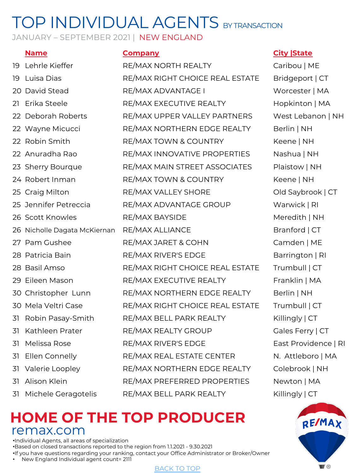# TOP INDIVIDUAL AGENTS BY TRANSACTION

JANUARY - SEPTEMBER 2021 | NEW ENGLAND

19 Lehrle Kieffer RE/MAX NORTH REALTY Caribou | ME 19 Luisa Dias RE/MAX RIGHT CHOICE REAL ESTATE Bridgeport | CT 20 David Stead RE/MAX ADVANTAGE I Worcester | MA 21 Erika Steele RE/MAX EXECUTIVE REALTY Hopkinton | MA 22 Deborah Roberts RE/MAX UPPER VALLEY PARTNERS West Lebanon | NH 22 Wayne Micucci RE/MAX NORTHERN EDGE REALTY Berlin | NH 22 Robin Smith RE/MAX TOWN & COUNTRY Keene | NH 22 Anuradha Rao RE/MAX INNOVATIVE PROPERTIES Nashua | NH 23 Sherry Bourque **RE/MAX MAIN STREET ASSOCIATES** Plaistow | NH 24 Robert Inman RE/MAX TOWN & COUNTRY Keene | NH 25 Craig Milton RE/MAX VALLEY SHORE Old Saybrook | CT 25 Jennifer Petreccia RE/MAX ADVANTAGE GROUP Warwick | RI 26 Scott Knowles **RE/MAX BAYSIDE** Meredith | NH 26 Nicholle Dagata McKiernan RE/MAX ALLIANCE Branford | CT 27 Pam Gushee RE/MAX JARET & COHN Camden | ME 28 Patricia Bain **RE/MAX RIVER'S EDGE** Barrington | RI 28 Basil Amso RE/MAX RIGHT CHOICE REAL ESTATE Trumbull | CT 29 Eileen Mason RE/MAX EXECUTIVE REALTY Franklin | MA 30 Christopher Lunn RE/MAX NORTHERN EDGE REALTY Berlin | NH 30 Mela Veltri Case RE/MAX RIGHT CHOICE REAL ESTATE Trumbull | CT 31 Robin Pasay-Smith RE/MAX BELL PARK REALTY Killingly | CT 31 Kathleen Prater **RE/MAX REALTY GROUP** Gales Ferry | CT 31 Melissa Rose RE/MAX RIVER'S EDGE East Providence | RI 31 Ellen Connelly **RE/MAX REAL ESTATE CENTER** N. Attleboro | MA 31 Valerie Loopley RE/MAX NORTHERN EDGE REALTY Colebrook | NH 31 Alison Klein RE/MAX PREFERRED PROPERTIES Newton | MA 31 Michele Geragotelis RE/MAX BELL PARK REALTY Killingly | CT

### **Name Company City |State**



### **HOME OF THE TOP PRODUCER** remax.com

•Individual Agents, all areas of specialization •Based on closed transactions reported to the region from 1.1.2021 - 9.30.2021 •If you have questions regarding your ranking, contact your Office Administrator or Broker/Owner

• New England Individual agent count= 2111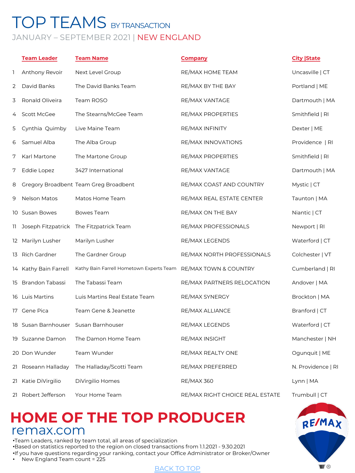### <span id="page-17-0"></span>TOP TEAMS BY TRANSACTION JANUARY – SEPTEMBER 2021 | NEW ENGLAND

|     | <b>Team Leader</b>    | <b>Team Name</b>                         | <b>Company</b>                  | <b>City State</b>  |
|-----|-----------------------|------------------------------------------|---------------------------------|--------------------|
| 1   | Anthony Revoir        | Next Level Group                         | RE/MAX HOME TEAM                | Uncasville   CT    |
| 2   | David Banks           | The David Banks Team                     | RE/MAX BY THE BAY               | Portland   ME      |
| 3   | Ronald Oliveira       | Team ROSO                                | RE/MAX VANTAGE                  | Dartmouth   MA     |
| 4   | Scott McGee           | The Stearns/McGee Team                   | RE/MAX PROPERTIES               | Smithfield   RI    |
| 5   | Cynthia Quimby        | Live Maine Team                          | RE/MAX INFINITY                 | Dexter   ME        |
| 6   | Samuel Alba           | The Alba Group                           | RE/MAX INNOVATIONS              | Providence   RI    |
| 7   | Karl Martone          | The Martone Group                        | RE/MAX PROPERTIES               | Smithfield   RI    |
| 7   | Eddie Lopez           | 3427 International                       | RE/MAX VANTAGE                  | Dartmouth   MA     |
| 8   |                       | Gregory Broadbent Team Greg Broadbent    | RE/MAX COAST AND COUNTRY        | Mystic   CT        |
| 9   | Nelson Matos          | Matos Home Team                          | RE/MAX REAL ESTATE CENTER       | Taunton   MA       |
|     | 10 Susan Bowes        | Bowes Team                               | RE/MAX ON THE BAY               | Niantic   CT       |
| 11. | Joseph Fitzpatrick    | The Fitzpatrick Team                     | RE/MAX PROFESSIONALS            | Newport   RI       |
|     | 12 Marilyn Lusher     | Marilyn Lusher                           | RE/MAX LEGENDS                  | Waterford   CT     |
|     | 13 Rich Gardner       | The Gardner Group                        | RE/MAX NORTH PROFESSIONALS      | Colchester   VT    |
|     | 14 Kathy Bain Farrell | Kathy Bain Farrell Hometown Experts Team | RE/MAX TOWN & COUNTRY           | Cumberland   RI    |
| 15  | Brandon Tabassi       | The Tabassi Team                         | RE/MAX PARTNERS RELOCATION      | Andover   MA       |
|     | 16 Luis Martins       | Luis Martins Real Estate Team            | RE/MAX SYNERGY                  | Brockton   MA      |
| 17  | Gene Pica             | Team Gene & Jeanette                     | RE/MAX ALLIANCE                 | Branford   CT      |
|     | 18 Susan Barnhouser   | Susan Barnhouser                         | <b>RE/MAX LEGENDS</b>           | Waterford   CT     |
|     | 19 Suzanne Damon      | The Damon Home Team                      | RE/MAX INSIGHT                  | Manchester   NH    |
|     | 20 Don Wunder         | Team Wunder                              | RE/MAX REALTY ONE               | Ogunquit   ME      |
| 21  | Roseann Halladay      | The Halladay/Scotti Team                 | RE/MAX PREFERRED                | N. Providence   RI |
| 21  | Katie DiVirgilio      | DiVirgilio Homes                         | <b>RE/MAX 360</b>               | Lynn   MA          |
| 21  | Robert Jefferson      | Your Home Team                           | RE/MAX RIGHT CHOICE REAL ESTATE | Trumbull   CT      |

## **HOME OF THE TOP PRODUCER** remax.com

•Team Leaders, ranked by team total, all areas of specialization •Based on statistics reported to the region on closed transactions from 1.1.2021 - 9.30.2021 •If you have questions regarding your ranking, contact your Office Administrator or Broker/Owner

• New England Team count = 225

#### BACK TO TOP

 $\blacksquare$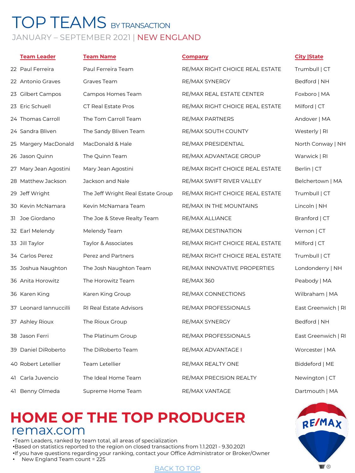### TOP TEAMS BY TRANSACTION JANUARY – SEPTEMBER 2021 | NEW ENGLAND

| <b>Team Leader</b>     | <b>Team Name</b>                  | <b>Company</b>                  | <b>City State</b>   |
|------------------------|-----------------------------------|---------------------------------|---------------------|
| 22 Paul Ferreira       | Paul Ferreira Team                | RE/MAX RIGHT CHOICE REAL ESTATE | Trumbull   CT       |
| 22 Antonio Graves      | Graves Team                       | RE/MAX SYNERGY                  | Bedford   NH        |
| 23 Gilbert Campos      | Campos Homes Team                 | RE/MAX REAL ESTATE CENTER       | Foxboro   MA        |
| 23 Eric Schuell        | <b>CT Real Estate Pros</b>        | RE/MAX RIGHT CHOICE REAL ESTATE | Milford   CT        |
| 24 Thomas Carroll      | The Tom Carroll Team              | <b>RE/MAX PARTNERS</b>          | Andover   MA        |
| 24 Sandra Bliven       | The Sandy Bliven Team             | RE/MAX SOUTH COUNTY             | Westerly   RI       |
| 25 Margery MacDonald   | MacDonald & Hale                  | RE/MAX PRESIDENTIAL             | North Conway   NH   |
| 26 Jason Quinn         | The Quinn Team                    | RE/MAX ADVANTAGE GROUP          | Warwick   RI        |
| 27 Mary Jean Agostini  | Mary Jean Agostini                | RE/MAX RIGHT CHOICE REAL ESTATE | Berlin   CT         |
| 28 Matthew Jackson     | Jackson and Nale                  | RE/MAX SWIFT RIVER VALLEY       | Belchertown   MA    |
| 29 Jeff Wright         | The Jeff Wright Real Estate Group | RE/MAX RIGHT CHOICE REAL ESTATE | Trumbull   CT       |
| 30 Kevin McNamara      | Kevin McNamara Team               | RE/MAX IN THE MOUNTAINS         | Lincoln   NH        |
| 31 Joe Giordano        | The Joe & Steve Realty Team       | RE/MAX ALLIANCE                 | Branford   CT       |
| 32 Earl Melendy        | Melendy Team                      | RE/MAX DESTINATION              | Vernon   CT         |
| 33 Jill Taylor         | Taylor & Associates               | RE/MAX RIGHT CHOICE REAL ESTATE | Milford   CT        |
| 34 Carlos Perez        | Perez and Partners                | RE/MAX RIGHT CHOICE REAL ESTATE | Trumbull   CT       |
| 35 Joshua Naughton     | The Josh Naughton Team            | RE/MAX INNOVATIVE PROPERTIES    | Londonderry   NH    |
| 36 Anita Horowitz      | The Horowitz Team                 | <b>RE/MAX 360</b>               | Peabody   MA        |
| 36 Karen King          | Karen King Group                  | RE/MAX CONNECTIONS              | Wilbraham   MA      |
| 37 Leonard Jannuccilli | RI Real Estate Advisors           | RE/MAX PROFESSIONALS            | East Greenwich   RI |
| 37 Ashley Rioux        | The Rioux Group                   | RE/MAX SYNERGY                  | Bedford   NH        |
| 38 Jason Ferri         | The Platinum Group                | RE/MAX PROFESSIONALS            | East Greenwich   RI |
| 39 Daniel DiRoberto    | The DiRoberto Team                | RE/MAX ADVANTAGE I              | Worcester   MA      |
| 40 Robert Letellier    | Team Letellier                    | RE/MAX REALTY ONE               | Biddeford   ME      |
| 41 Carla Juvencio      | The Ideal Home Team               | RE/MAX PRECISION REALTY         | Newington   CT      |
| 41 Benny Olmeda        | Supreme Home Team                 | RE/MAX VANTAGE                  | Dartmouth   MA      |

## **HOME OF THE TOP PRODUCER** remax.com

•Team Leaders, ranked by team total, all areas of specialization •Based on statistics reported to the region on closed transactions from 1.1.2021 - 9.30.2021 •If you have questions regarding your ranking, contact your Office Administrator or Broker/Owner

• New England Team count = 225